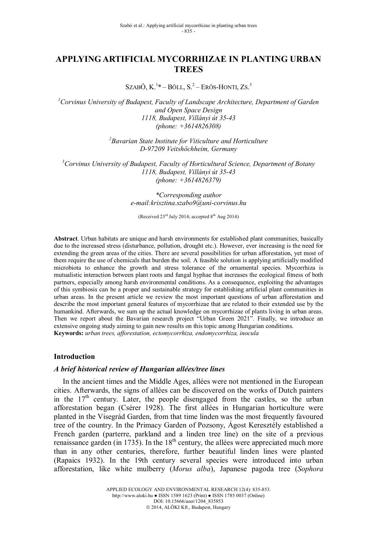# **APPLYING ARTIFICIAL MYCORRHIZAE IN PLANTING URBAN TREES**

SzabÓ, K.<sup>1</sup>\* – Böll, S.<sup>2</sup> – Erős-Honti, Zs.<sup>3</sup>

*<sup>1</sup>Corvinus University of Budapest, Faculty of Landscape Architecture, Department of Garden and Open Space Design 1118, Budapest, Villányi út 35-43 (phone: +3614826308)*

> *<sup>2</sup>Bavarian State Institute for Viticulture and Horticulture D-97209 Veitshöchheim, Germany*

*<sup>3</sup>Corvinus University of Budapest, Faculty of Horticultural Science, Department of Botany 1118, Budapest, Villányi út 35-43 (phone: +3614826379)*

> *\*Corresponding author e-mail:krisztina.szabo9@uni-corvinus.hu*

(Received  $23^{\text{rd}}$  July 2014; accepted  $8^{\text{th}}$  Aug 2014)

**Abstract**. Urban habitats are unique and harsh environments for established plant communities, basically due to the increased stress (disturbance, pollution, drought etc.). However, ever increasing is the need for extending the green areas of the cities. There are several possibilities for urban afforestation, yet most of them require the use of chemicals that burden the soil. A feasible solution is applying artificially modified microbiota to enhance the growth and stress tolerance of the ornamental species. Mycorrhiza is mutualistic interaction between plant roots and fungal hyphae that increases the ecological fitness of both partners, especially among harsh environmental conditions. As a consequence, exploiting the advantages of this symbiosis can be a proper and sustainable strategy for establishing artificial plant communities in urban areas. In the present article we review the most important questions of urban afforestation and describe the most important general features of mycorrhizae that are related to their extended use by the humankind. Afterwards, we sum up the actual knowledge on mycorrhizae of plants living in urban areas. Then we report about the Bavarian research project "Urban Green 2021". Finally, we introduce an extensive ongoing study aiming to gain new results on this topic among Hungarian conditions. **Keywords:** *urban trees, afforestation, ectomycorrhiza, endomycorrhiza, inocula*

### **Introduction**

### *A brief historical review of Hungarian allées/tree lines*

In the ancient times and the Middle Ages, allées were not mentioned in the European cities. Afterwards, the signs of allées can be discovered on the works of Dutch painters in the  $17<sup>th</sup>$  century. Later, the people disengaged from the castles, so the urban afforestation began (Csérer 1928). The first allées in Hungarian horticulture were planted in the Visegrád Garden, from that time linden was the most frequently favoured tree of the country. In the Primacy Garden of Pozsony, Ágost Keresztély established a French garden (parterre, parkland and a linden tree line) on the site of a previous renaissance garden (in 1735). In the  $18<sup>th</sup>$  century, the allées were appreciated much more than in any other centuries, therefore, further beautiful linden lines were planted (Rapaics 1932). In the 19th century several species were introduced into urban afforestation, like white mulberry (*Morus alba*), Japanese pagoda tree (*Sophora*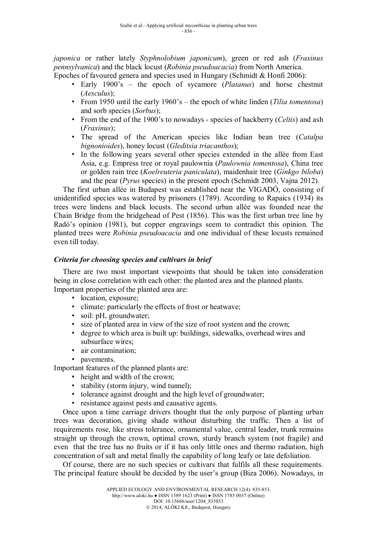*japonica* or rather lately *Styphnolobium japonicum*), green or red ash (*Fraxinus pennsylvanica*) and the black locust (*Robinia pseudoacacia*) from North America.

Epoches of favoured genera and species used in Hungary (Schmidt & Honfi 2006):

- Early 1900's the epoch of sycamore (*Platanus*) and horse chestnut (*Aesculus*);
- From 1950 until the early 1960's the epoch of white linden (*Tilia tomentosa*) and sorb species (*Sorbus*);
- From the end of the 1900's to nowadays species of hackberry (*Celtis*) and ash (*Fraxinus*);
- The spread of the American species like Indian bean tree (*Catalpa bignonioides*), honey locust (*Gleditsia triacanthos*);
- In the following years several other species extended in the allée from East Asia, e.g. Empress tree or royal paulownia (*Paulownia tomentosa*), China tree or golden rain tree (*Koelreuteria paniculata*), maidenhair tree (*Ginkgo biloba*) and the pear (*Pyrus* species) in the present epoch (Schmidt 2003, Vajna 2012).

The first urban allée in Budapest was established near the VIGADÓ, consisting of unidentified species was watered by prisoners (1789). According to Rapaics (1934) its trees were lindens and black locusts. The second urban allée was founded near the Chain Bridge from the bridgehead of Pest (1856). This was the first urban tree line by Radó's opinion (1981), but copper engravings seem to contradict this opinion. The planted trees were *Robinia pseudoacacia* and one individual of these locusts remained even till today.

# *Criteria for choosing species and cultivars in brief*

There are two most important viewpoints that should be taken into consideration being in close correlation with each other: the planted area and the planned plants. Important properties of the planted area are:

- location, exposure:
- climate: particularly the effects of frost or heatwave;
- soil: pH, groundwater;
- size of planted area in view of the size of root system and the crown;
- degree to which area is built up: buildings, sidewalks, overhead wires and subsurface wires;
- air contamination:
- pavements.

Important features of the planned plants are:

- height and width of the crown;
- stability (storm injury, wind tunnel);
- tolerance against drought and the high level of groundwater;
- resistance against pests and causative agents.

Once upon a time carriage drivers thought that the only purpose of planting urban trees was decoration, giving shade without disturbing the traffic. Then a list of requirements rose, like stress tolerance, ornamental value, central leader, trunk remains straight up through the crown, optimal crown, sturdy branch system (not fragile) and even that the tree has no fruits or if it has only little ones and thermo radiation, high concentration of salt and metal finally the capability of long leafy or late defoliation.

Of course, there are no such species or cultivars that fulfils all these requirements. The principal feature should be decided by the user's group (Biza 2006). Nowadays, in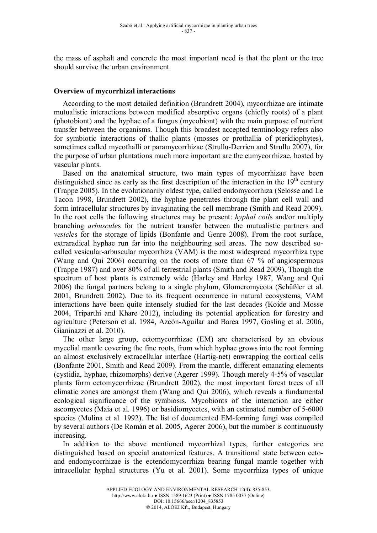the mass of asphalt and concrete the most important need is that the plant or the tree should survive the urban environment.

## **Overview of mycorrhizal interactions**

According to the most detailed definition (Brundrett 2004), mycorrhizae are intimate mutualistic interactions between modified absorptive organs (chiefly roots) of a plant (photobiont) and the hyphae of a fungus (mycobiont) with the main purpose of nutrient transfer between the organisms. Though this broadest accepted terminology refers also for symbiotic interactions of thallic plants (mosses or prothallia of pteridiophytes), sometimes called mycothalli or paramycorrhizae (Strullu-Derrien and Strullu 2007), for the purpose of urban plantations much more important are the eumycorrhizae, hosted by vascular plants.

Based on the anatomical structure, two main types of mycorrhizae have been distinguished since as early as the first description of the interaction in the 19<sup>th</sup> century (Trappe 2005). In the evolutionarily oldest type, called endomycorrhiza (Selosse and Le Tacon 1998, Brundrett 2002), the hyphae penetrates through the plant cell wall and form intracellular structures by invaginating the cell membrane (Smith and Read 2009). In the root cells the following structures may be present: *hyphal coil*s and/or multiply branching *arbuscule*s for the nutrient transfer between the mutualistic partners and *vesicle*s for the storage of lipids (Bonfante and Genre 2008). From the root surface, extraradical hyphae run far into the neighbouring soil areas. The now described socalled vesicular-arbuscular mycorrhiza (VAM) is the most widespread mycorrhiza type (Wang and Qui 2006) occurring on the roots of more than 67 % of angiospermous (Trappe 1987) and over 80% of all terrestrial plants (Smith and Read 2009), Though the spectrum of host plants is extremely wide (Harley and Harley 1987, Wang and Qui 2006) the fungal partners belong to a single phylum, Glomeromycota (Schüßler et al. 2001, Brundrett 2002). Due to its frequent occurrence in natural ecosystems, VAM interactions have been quite intensely studied for the last decades (Koide and Mosse 2004, Triparthi and Khare 2012), including its potential application for forestry and agriculture (Peterson et al. 1984, Azcón-Aguilar and Barea 1997, Gosling et al. 2006, Gianinazzi et al. 2010).

The other large group, ectomycorrhizae (EM) are characterised by an obvious mycelial mantle covering the fine roots, from which hyphae grows into the root forming an almost exclusively extracellular interface (Hartig-net) enwrapping the cortical cells (Bonfante 2001, Smith and Read 2009). From the mantle, different emanating elements (cystidia, hyphae, rhizomorphs) derive (Agerer 1999). Though merely 4-5% of vascular plants form ectomycorrhizae (Brundrett 2002), the most important forest trees of all climatic zones are amongst them (Wang and Qui 2006), which reveals a fundamental ecological significance of the symbiosis. Mycobionts of the interaction are either ascomycetes (Maia et al. 1996) or basidiomycetes, with an estimated number of 5-6000 species (Molina et al. 1992). The list of documented EM-forming fungi was compiled by several authors (De Román et al. 2005, Agerer 2006), but the number is continuously increasing.

In addition to the above mentioned mycorrhizal types, further categories are distinguished based on special anatomical features. A transitional state between ectoand endomycorrhizae is the ectendomycorrhiza bearing fungal mantle together with intracellular hyphal structures (Yu et al. 2001). Some mycorrhiza types of unique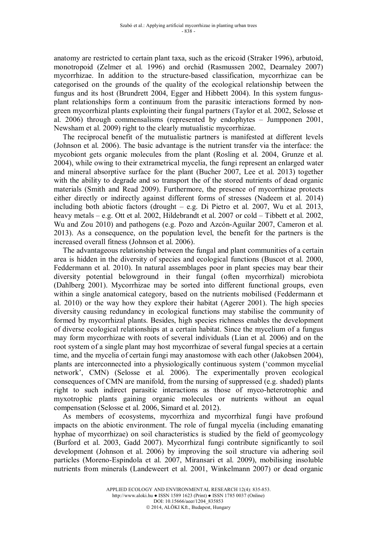anatomy are restricted to certain plant taxa, such as the ericoid (Straker 1996), arbutoid, monotropoid (Zelmer et al. 1996) and orchid (Rasmussen 2002, Dearnaley 2007) mycorrhizae. In addition to the structure-based classification, mycorrhizae can be categorised on the grounds of the quality of the ecological relationship between the fungus and its host (Brundrett 2004, Egger and Hibbett 2004). In this system fungusplant relationships form a continuum from the parasitic interactions formed by nongreen mycorrhizal plants explointing their fungal partners (Taylor et al. 2002, Selosse et al. 2006) through commensalisms (represented by endophytes – Jumpponen 2001, Newsham et al. 2009) right to the clearly mutualistic mycorrhizae.

The reciprocal benefit of the mutualistic partners is manifested at different levels (Johnson et al. 2006). The basic advantage is the nutrient transfer via the interface: the mycobiont gets organic molecules from the plant (Rosling et al. 2004, Grunze et al. 2004), while owing to their extrametrical mycelia, the fungi represent an enlarged water and mineral absorptive surface for the plant (Bucher 2007, Lee et al. 2013) together with the ability to degrade and so transport the of the stored nutrients of dead organic materials (Smith and Read 2009). Furthermore, the presence of mycorrhizae protects either directly or indirectly against different forms of stresses (Nadeem et al. 2014) including both abiotic factors (drought – e.g. Di Pietro et al. 2007, Wu et al. 2013, heavy metals – e.g. Ott et al. 2002, Hildebrandt et al. 2007 or cold – Tibbett et al. 2002, Wu and Zou 2010) and pathogens (e.g. Pozo and Azcón-Aguilar 2007, Cameron et al. 2013). As a consequence, on the population level, the benefit for the partners is the increased overall fitness (Johnson et al. 2006).

The advantageous relationship between the fungal and plant communities of a certain area is hidden in the diversity of species and ecological functions (Buscot et al. 2000, Feddermann et al. 2010). In natural assemblages poor in plant species may bear their diversity potential belowground in their fungal (often mycorrhizal) microbiota (Dahlberg 2001). Mycorrhizae may be sorted into different functional groups, even within a single anatomical category, based on the nutrients mobilised (Feddermann et al. 2010) or the way how they explore their habitat (Agerer 2001). The high species diversity causing redundancy in ecological functions may stabilise the community of formed by mycorrhizal plants. Besides, high species richness enables the development of diverse ecological relationships at a certain habitat. Since the mycelium of a fungus may form mycorrhizae with roots of several individuals (Lian et al. 2006) and on the root system of a single plant may host mycorrhizae of several fungal species at a certain time, and the mycelia of certain fungi may anastomose with each other (Jakobsen 2004), plants are interconnected into a physiologically continuous system ('common mycelial network', CMN) (Selosse et al. 2006). The experimentally proven ecological consequences of CMN are manifold, from the nursing of suppressed (e.g. shaded) plants right to such indirect parasitic interactions as those of myco-heterotrophic and myxotrophic plants gaining organic molecules or nutrients without an equal compensation (Selosse et al. 2006, Simard et al. 2012).

As members of ecosystems, mycorrhiza and mycorrhizal fungi have profound impacts on the abiotic environment. The role of fungal mycelia (including emanating hyphae of mycorrhizae) on soil characteristics is studied by the field of geomycology (Burford et al. 2003, Gadd 2007). Mycorrhizal fungi contribute significantly to soil development (Johnson et al. 2006) by improving the soil structure via adhering soil particles (Moreno-Espindola et al. 2007, Miransari et al. 2009), mobilising insoluble nutrients from minerals (Landeweert et al. 2001, Winkelmann 2007) or dead organic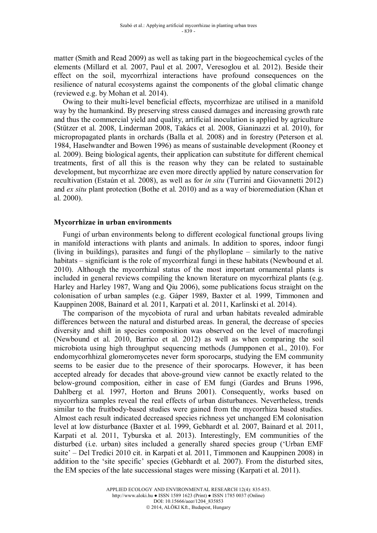matter (Smith and Read 2009) as well as taking part in the biogeochemical cycles of the elements (Millard et al. 2007, Paul et al. 2007, Veresoglou et al. 2012). Beside their effect on the soil, mycorrhizal interactions have profound consequences on the resilience of natural ecosystems against the components of the global climatic change (reviewed e.g. by Mohan et al. 2014).

Owing to their multi-level beneficial effects, mycorrhizae are utilised in a manifold way by the humankind. By preserving stress caused damages and increasing growth rate and thus the commercial yield and quality, artificial inoculation is applied by agriculture (Stützer et al. 2008, Linderman 2008, Takács et al. 2008, Gianinazzi et al. 2010), for micropropagated plants in orchards (Balla et al. 2008) and in forestry (Peterson et al. 1984, Haselwandter and Bowen 1996) as means of sustainable development (Rooney et al. 2009). Being biological agents, their application can substitute for different chemical treatments, first of all this is the reason why they can be related to sustainable development, but mycorrhizae are even more directly applied by nature conservation for recultivation (Estaún et al. 2008), as well as for *in situ* (Turrini and Giovannetti 2012) and *ex situ* plant protection (Bothe et al. 2010) and as a way of bioremediation (Khan et al. 2000).

## **Mycorrhizae in urban environments**

Fungi of urban environments belong to different ecological functional groups living in manifold interactions with plants and animals. In addition to spores, indoor fungi (living in buildings), parasites and fungi of the phylloplane – similarly to the native habitats – significiant is the role of mycorrhizal fungi in these habitats (Newbound et al. 2010). Although the mycorrhizal status of the most important ornamental plants is included in general reviews compiling the known literature on mycorrhizal plants (e.g. Harley and Harley 1987, Wang and Qiu 2006), some publications focus straight on the colonisation of urban samples (e.g. Gáper 1989, Baxter et al. 1999, Timmonen and Kauppinen 2008, Bainard et al. 2011, Karpati et al. 2011, Karlinski et al. 2014).

The comparison of the mycobiota of rural and urban habitats revealed admirable differences between the natural and disturbed areas. In general, the decrease of species diversity and shift in species composition was observed on the level of macrofungi (Newbound et al. 2010, Barrico et al. 2012) as well as when comparing the soil microbiota using high throughput sequencing methods (Jumpponen et al., 2010). For endomycorhhizal glomeromycetes never form sporocarps, studying the EM community seems to be easier due to the presence of their sporocarps. However, it has been accepted already for decades that above-ground view cannot be exactly related to the below-ground composition, either in case of EM fungi (Gardes and Bruns 1996, Dahlberg et al. 1997, Horton and Bruns 2001). Consequently, works based on mycorrhiza samples reveal the real effects of urban disturbances. Nevertheless, trends similar to the fruitbody-based studies were gained from the mycorrhiza based studies. Almost each result indicated decreased species richness yet unchanged EM colonisation level at low disturbance (Baxter et al. 1999, Gebhardt et al. 2007, Bainard et al. 2011, Karpati et al. 2011, Tyburska et al. 2013). Interestingly, EM communities of the disturbed (i.e. urban) sites included a generally shared species group ('Urban EMF suite' – Del Tredici 2010 cit. in Karpati et al. 2011, Timmonen and Kauppinen 2008) in addition to the 'site specific' species (Gebhardt et al. 2007). From the disturbed sites, the EM species of the late successional stages were missing (Karpati et al. 2011).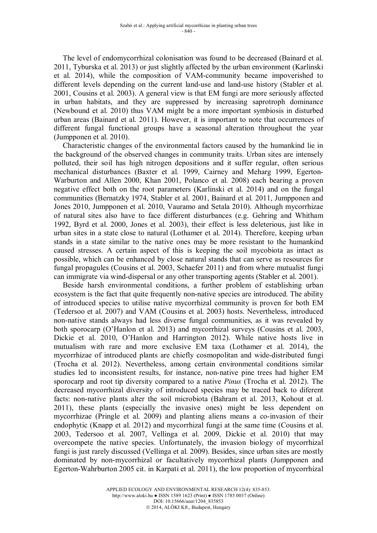The level of endomycorrhizal colonisation was found to be decreased (Bainard et al. 2011, Tyburska et al. 2013) or just slightly affected by the urban environment (Karlinski et al. 2014), while the composition of VAM-community became impoverished to different levels depending on the current land-use and land-use history (Stabler et al. 2001, Cousins et al. 2003). A general view is that EM fungi are more seriously affected in urban habitats, and they are suppressed by increasing saprotroph dominance (Newbound et al. 2010) thus VAM might be a more important symbiosis in disturbed urban areas (Bainard et al. 2011). However, it is important to note that occurrences of different fungal functional groups have a seasonal alteration throughout the year (Jumpponen et al. 2010).

Characteristic changes of the environmental factors caused by the humankind lie in the background of the observed changes in community traits. Urban sites are intensely polluted, their soil has high nitrogen depositions and it suffer regular, often serious mechanical disturbances (Baxter et al. 1999, Cairney and Meharg 1999, Egerton-Warburton and Allen 2000, Khan 2001, Polanco et al. 2008) each bearing a proven negative effect both on the root parameters (Karlinski et al. 2014) and on the fungal communities (Bernatzky 1974, Stabler et al. 2001, Bainard et al. 2011, Jumpponen and Jones 2010, Jumpponen et al. 2010, Vauramo and Setala 2010). Although mycorrhizae of natural sites also have to face different disturbances (e.g. Gehring and Whitham 1992, Byrd et al. 2000, Jones et al. 2003), their effect is less deleterious, just like in urban sites in a state close to natural (Lothamer et al. 2014). Therefore, keeping urban stands in a state similar to the native ones may be more resistant to the humankind caused stresses. A certain aspect of this is keeping the soil mycobiota as intact as possible, which can be enhanced by close natural stands that can serve as resources for fungal propagules (Cousins et al. 2003, Schaefer 2011) and from where mutualist fungi can immigrate via wind-dispersal or any other transporting agents (Stabler et al. 2001).

Beside harsh environmental conditions, a further problem of establishing urban ecosystem is the fact that quite frequently non-native species are introduced. The ability of introduced species to utilise native mycorrhizal community is proven for both EM (Tedersoo et al. 2007) and VAM (Cousins et al. 2003) hosts. Nevertheless, introduced non-native stands always had less diverse fungal communities, as it was revealed by both sporocarp (O'Hanlon et al. 2013) and mycorrhizal surveys (Cousins et al. 2003, Dickie et al. 2010, O'Hanlon and Harrington 2012). While native hosts live in mutualism with rare and more exclusive EM taxa (Lothamer et al. 2014), the mycorrhizae of introduced plants are chiefly cosmopolitan and wide-distributed fungi (Trocha et al. 2012). Nevertheless, among certain environmental conditions similar studies led to inconsistent results, for instance, non-native pine trees had higher EM sporocarp and root tip diversity compared to a native *Pinus* (Trocha et al. 2012). The decreased mycorrhizal diversity of introduced species may be traced back to diferent facts: non-native plants alter the soil microbiota (Bahram et al. 2013, Kohout et al. 2011), these plants (especially the invasive ones) might be less dependent on mycorrhizae (Pringle et al. 2009) and planting aliens means a co-invasion of their endophytic (Knapp et al. 2012) and mycorrhizal fungi at the same time (Cousins et al. 2003, Tedersoo et al. 2007, Vellinga et al. 2009, Dickie et al. 2010) that may overcompete the native species. Unfortunately, the invasion biology of mycorrhizal fungi is just rarely discussed (Vellinga et al. 2009). Besides, since urban sites are mostly dominated by non-mycorrhizal or facultatively mycorrhizal plants (Jumpponen and Egerton-Wahrburton 2005 cit. in Karpati et al. 2011), the low proportion of mycorrhizal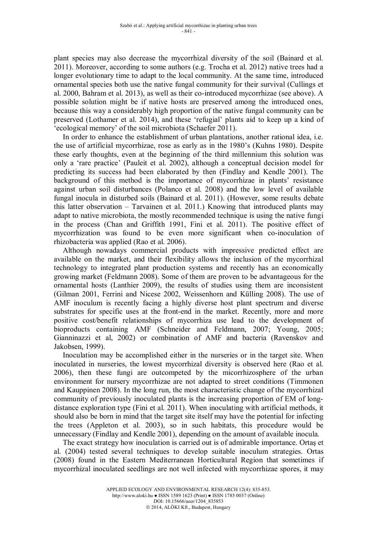plant species may also decrease the mycorrhizal diversity of the soil (Bainard et al. 2011). Moreover, according to some authors (e.g. Trocha et al. 2012) native trees had a longer evolutionary time to adapt to the local community. At the same time, introduced ornamental species both use the native fungal community for their survival (Cullings et al. 2000, Bahram et al. 2013), as well as their co-introduced mycorrhizae (see above). A possible solution might be if native hosts are preserved among the introduced ones, because this way a considerably high proportion of the native fungal community can be preserved (Lothamer et al. 2014), and these 'refugial' plants aid to keep up a kind of 'ecological memory' of the soil microbiota (Schaefer 2011).

In order to enhance the establishment of urban plantations, another rational idea, i.e. the use of artificial mycorrhizae, rose as early as in the 1980's (Kuhns 1980). Despite these early thoughts, even at the beginning of the third millennium this solution was only a 'rare practice' (Pauleit et al. 2002), although a conceptual decision model for predicting its success had been elaborated by then (Findlay and Kendle 2001). The background of this method is the importance of mycorrhizae in plants' resistance against urban soil disturbances (Polanco et al. 2008) and the low level of available fungal inocula in disturbed soils (Bainard et al. 2011). (However, some results debate this latter observation – Tarvainen et al. 2011.) Knowing that introduced plants may adapt to native microbiota, the mostly recommended technique is using the native fungi in the process (Chan and Griffith 1991, Fini et al. 2011). The positive effect of mycorrhization was found to be even more significant when co-inoculation of rhizobacteria was applied (Rao et al. 2006).

Although nowadays commercial products with impressive predicted effect are available on the market, and their flexibility allows the inclusion of the mycorrhizal technology to integrated plant production systems and recently has an economically growing market (Feldmann 2008). Some of them are proven to be advantageous for the ornamental hosts (Lanthier 2009), the results of studies using them are inconsistent (Gilman 2001, Ferrini and Nicese 2002, Weissenhorn and Külling 2008). The use of AMF inoculum is recently facing a highly diverse host plant spectrum and diverse substrates for specific uses at the front-end in the market. Recently, more and more positive cost/benefit relationships of mycorrhiza use lead to the development of bioproducts containing AMF (Schneider and Feldmann, 2007; Young, 2005; Gianninazzi et al, 2002) or combination of AMF and bacteria (Ravenskov and Jakobsen, 1999).

Inoculation may be accomplished either in the nurseries or in the target site. When inoculated in nurseries, the lowest mycorrhizal diversity is observed here (Rao et al. 2006), then these fungi are outcompeted by the micorrhizosphere of the urban environment for nursery mycorrhizae are not adapted to street conditions (Timmonen and Kauppinen 2008). In the long run, the most characteristic change of the mycorrhizal community of previously inoculated plants is the increasing proportion of EM of longdistance exploration type (Fini et al. 2011). When inoculating with artificial methods, it should also be born in mind that the target site itself may have the potential for infecting the trees (Appleton et al. 2003), so in such habitats, this procedure would be unnecessary (Findlay and Kendle 2001), depending on the amount of available inocula.

The exact strategy how inoculation is carried out is of admirable importance. Ortaş et al. (2004) tested several techniques to develop suitable inoculum strategies. Ortas (2008) found in the Eastern Mediterranean Horticultural Region that sometimes if mycorrhizal inoculated seedlings are not well infected with mycorrhizae spores, it may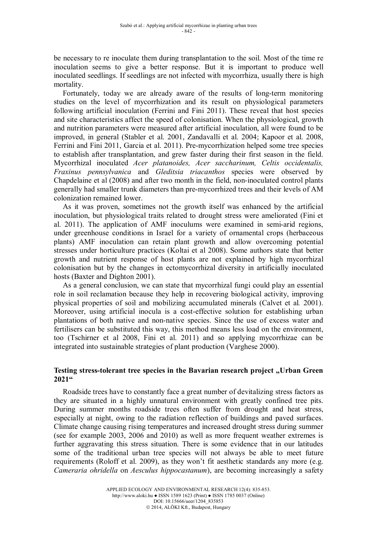be necessary to re inoculate them during transplantation to the soil. Most of the time re inoculation seems to give a better response. But it is important to produce well inoculated seedlings. If seedlings are not infected with mycorrhiza, usually there is high mortality.

Fortunately, today we are already aware of the results of long-term monitoring studies on the level of mycorrhization and its result on physiological parameters following artificial inoculation (Ferrini and Fini 2011). These reveal that host species and site characteristics affect the speed of colonisation. When the physiological, growth and nutrition parameters were measured after artificial inoculation, all were found to be improved, in general (Stabler et al. 2001, Zandavalli et al. 2004; Kapoor et al. 2008, Ferrini and Fini 2011, Garcia et al. 2011). Pre-mycorrhization helped some tree species to establish after transplantation, and grew faster during their first season in the field. Mycorrhizal inoculated *Acer platanoides, Acer saccharinum, Celtis occidentalis, Fraxinus pennsylvanica* and *Gleditsia triacanthos* species were observed by Chapdelaine et al (2008) and after two month in the field, non-inoculated control plants generally had smaller trunk diameters than pre-mycorrhized trees and their levels of AM colonization remained lower.

As it was proven, sometimes not the growth itself was enhanced by the artificial inoculation, but physiological traits related to drought stress were ameliorated (Fini et al. 2011). The application of AMF inoculums were examined in semi-arid regions, under greenhouse conditions in Israel for a variety of ornamental crops (herbaceous plants) AMF inoculation can retain plant growth and allow overcoming potential stresses under horticulture practices (Koltai et al 2008). Some authors state that better growth and nutrient response of host plants are not explained by high mycorrhizal colonisation but by the changes in ectomycorrhizal diversity in artificially inoculated hosts (Baxter and Dighton 2001).

As a general conclusion, we can state that mycorrhizal fungi could play an essential role in soil reclamation because they help in recovering biological activity, improving physical properties of soil and mobilizing accumulated minerals (Calvet et al*.* 2001). Moreover, using artificial inocula is a cost-effective solution for establishing urban plantations of both native and non-native species. Since the use of excess water and fertilisers can be substituted this way, this method means less load on the environment, too (Tschirner et al 2008, Fini et al. 2011) and so applying mycorrhizae can be integrated into sustainable strategies of plant production (Varghese 2000).

## Testing stress-tolerant tree species in the Bavarian research project "Urban Green **2021"**

Roadside trees have to constantly face a great number of devitalizing stress factors as they are situated in a highly unnatural environment with greatly confined tree pits. During summer months roadside trees often suffer from drought and heat stress, especially at night, owing to the radiation reflection of buildings and paved surfaces. Climate change causing rising temperatures and increased drought stress during summer (see for example 2003, 2006 and 2010) as well as more frequent weather extremes is further aggravating this stress situation. There is some evidence that in our latitudes some of the traditional urban tree species will not always be able to meet future requirements (Roloff et al. 2009), as they won't fit aesthetic standards any more (e.g. *Cameraria ohridella* on *Aesculus hippocastanum*), are becoming increasingly a safety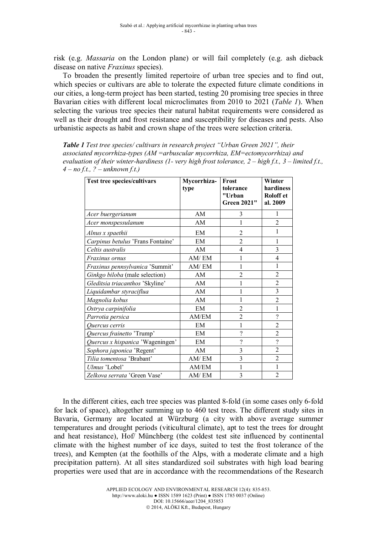risk (e.g. *Massaria* on the London plane) or will fail completely (e.g. ash dieback disease on native *Fraxinus* species).

To broaden the presently limited repertoire of urban tree species and to find out, which species or cultivars are able to tolerate the expected future climate conditions in our cities, a long-term project has been started, testing 20 promising tree species in three Bavarian cities with different local microclimates from 2010 to 2021 (*Table 1*). When selecting the various tree species their natural habitat requirements were considered as well as their drought and frost resistance and susceptibility for diseases and pests. Also urbanistic aspects as habit and crown shape of the trees were selection criteria.

*Table 1 Test tree species/ cultivars in research project "Urban Green 2021", their associated mycorrhiza-types (AM =arbuscular mycorrhiza, EM=ectomycorrhiza) and evaluation of their winter-hardiness (1- very high frost tolerance, 2 – high f.t., 3 – limited f.t., 4 – no f.t., ? – unknown f.t.)*

| <b>Test tree species/cultivars</b> | Mycorrhiza-<br>type | Frost<br>tolerance<br>"Urban<br><b>Green 2021"</b> | Winter<br>hardiness<br><b>Roloff</b> et<br>al. 2009 |
|------------------------------------|---------------------|----------------------------------------------------|-----------------------------------------------------|
| Acer buergerianum                  | AM                  | 3                                                  | 1                                                   |
| Acer monspessulanum                | AM                  | 1                                                  | $\overline{2}$                                      |
| Alnus x spaethii                   | <b>EM</b>           | $\overline{2}$                                     | 1                                                   |
| Carpinus betulus 'Frans Fontaine'  | EM                  | $\overline{2}$                                     |                                                     |
| Celtis australis                   | AM                  | 4                                                  | $\overline{3}$                                      |
| Fraxinus ornus                     | AM/EM               | 1                                                  | $\overline{4}$                                      |
| Fraxinus pennsylvanica 'Summit'    | AM/EM               | 1                                                  | 1                                                   |
| Ginkgo biloba (male selection)     | AM                  | $\overline{2}$                                     | $\overline{2}$                                      |
| Gleditsia triacanthos 'Skyline'    | AM                  | 1                                                  | $\overline{2}$                                      |
| Liquidambar styraciflua            | AM                  | 1                                                  | $\overline{3}$                                      |
| Magnolia kobus                     | AM                  | 1                                                  | $\overline{2}$                                      |
| Ostrya carpinifolia                | EM                  | $\overline{2}$                                     |                                                     |
| Parrotia persica                   | AM/EM               | $\overline{2}$                                     | $\overline{\mathcal{C}}$                            |
| Quercus cerris                     | EM                  | 1                                                  | $\overline{2}$                                      |
| Quercus frainetto 'Trump'          | EM                  | $\overline{\mathcal{L}}$                           | $\overline{2}$                                      |
| Quercus x hispanica 'Wageningen'   | EM                  | $\overline{\mathcal{L}}$                           | $\overline{?}$                                      |
| Sophora japonica 'Regent'          | AM                  | 3                                                  | $\overline{2}$                                      |
| Tilia tomentosa 'Brabant'          | AM/EM               | 3                                                  | $\overline{2}$                                      |
| Ulmus 'Lobel'                      | AM/EM               | 1                                                  |                                                     |
| Zelkova serrata 'Green Vase'       | AM/EM               | 3                                                  | $\overline{2}$                                      |

In the different cities, each tree species was planted 8-fold (in some cases only 6-fold for lack of space), altogether summing up to 460 test trees. The different study sites in Bavaria, Germany are located at Würzburg (a city with above average summer temperatures and drought periods (viticultural climate), apt to test the trees for drought and heat resistance), Hof/ Münchberg (the coldest test site influenced by continental climate with the highest number of ice days, suited to test the frost tolerance of the trees), and Kempten (at the foothills of the Alps, with a moderate climate and a high precipitation pattern). At all sites standardized soil substrates with high load bearing properties were used that are in accordance with the recommendations of the Research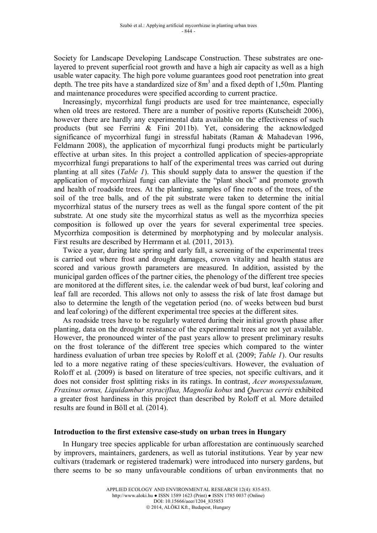Society for Landscape Developing Landscape Construction. These substrates are onelayered to prevent superficial root growth and have a high air capacity as well as a high usable water capacity. The high pore volume guarantees good root penetration into great depth. The tree pits have a standardized size of  $8m<sup>3</sup>$  and a fixed depth of 1,50m. Planting and maintenance procedures were specified according to current practice.

Increasingly, mycorrhizal fungi products are used for tree maintenance, especially when old trees are restored. There are a number of positive reports (Kutscheidt 2006), however there are hardly any experimental data available on the effectiveness of such products (but see Ferrini & Fini 2011b). Yet, considering the acknowledged significance of mycorrhizal fungi in stressful habitats (Raman & Mahadevan 1996, Feldmann 2008), the application of mycorrhizal fungi products might be particularly effective at urban sites. In this project a controlled application of species-appropriate mycorrhizal fungi preparations to half of the experimental trees was carried out during planting at all sites (*Table 1*). This should supply data to answer the question if the application of mycorrhizal fungi can alleviate the "plant shock" and promote growth and health of roadside trees. At the planting, samples of fine roots of the trees, of the soil of the tree balls, and of the pit substrate were taken to determine the initial mycorrhizal status of the nursery trees as well as the fungal spore content of the pit substrate. At one study site the mycorrhizal status as well as the mycorrhiza species composition is followed up over the years for several experimental tree species. Mycorrhiza composition is determined by morphotyping and by molecular analysis. First results are described by Herrmann et al. (2011, 2013).

Twice a year, during late spring and early fall, a screening of the experimental trees is carried out where frost and drought damages, crown vitality and health status are scored and various growth parameters are measured. In addition, assisted by the municipal garden offices of the partner cities, the phenology of the different tree species are monitored at the different sites, i.e. the calendar week of bud burst, leaf coloring and leaf fall are recorded. This allows not only to assess the risk of late frost damage but also to determine the length of the vegetation period (no. of weeks between bud burst and leaf coloring) of the different experimental tree species at the different sites.

As roadside trees have to be regularly watered during their initial growth phase after planting, data on the drought resistance of the experimental trees are not yet available. However, the pronounced winter of the past years allow to present preliminary results on the frost tolerance of the different tree species which compared to the winter hardiness evaluation of urban tree species by Roloff et al. (2009; *Table 1*). Our results led to a more negative rating of these species/cultivars. However, the evaluation of Roloff et al. (2009) is based on literature of tree species, not specific cultivars, and it does not consider frost splitting risks in its ratings. In contrast, *Acer monspessulanum, Fraxinus ornus, Liquidambar styraciflua, Magnolia kobus* and *Quercus cerris* exhibited a greater frost hardiness in this project than described by Roloff et al. More detailed results are found in Böll et al. (2014).

## **Introduction to the first extensive case-study on urban trees in Hungary**

In Hungary tree species applicable for urban afforestation are continuously searched by improvers, maintainers, gardeners, as well as tutorial institutions. Year by year new cultivars (trademark or registered trademark) were introduced into nursery gardens, but there seems to be so many unfavourable conditions of urban environments that no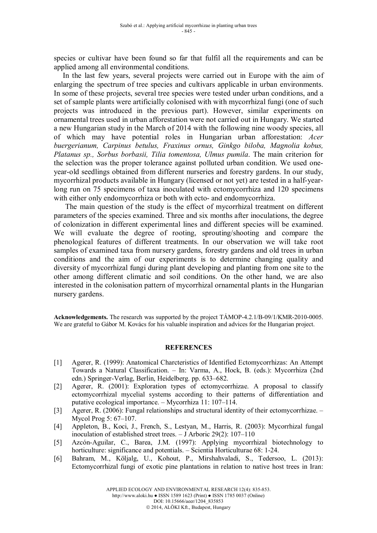species or cultivar have been found so far that fulfil all the requirements and can be applied among all environmental conditions.

In the last few years, several projects were carried out in Europe with the aim of enlarging the spectrum of tree species and cultivars applicable in urban environments. In some of these projects, several tree species were tested under urban conditions, and a set of sample plants were artificially colonised with with mycorrhizal fungi (one of such projects was introduced in the previous part). However, similar experiments on ornamental trees used in urban afforestation were not carried out in Hungary. We started a new Hungarian study in the March of 2014 with the following nine woody species, all of which may have potential roles in Hungarian urban afforestation: *Acer buergerianum, Carpinus betulus, Fraxinus ornus, Ginkgo biloba, Magnolia kobus, Platanus sp., Sorbus borbasii, Tilia tomentosa, Ulmus pumila*. The main criterion for the selection was the proper tolerance against polluted urban condition. We used oneyear-old seedlings obtained from different nurseries and forestry gardens. In our study, mycorrhizal products available in Hungary (licensed or not yet) are tested in a half-yearlong run on 75 specimens of taxa inoculated with ectomycorrhiza and 120 specimens with either only endomycorrhiza or both with ecto- and endomycorrhiza.

The main question of the study is the effect of mycorrhizal treatment on different parameters of the species examined. Three and six months after inoculations, the degree of colonization in different experimental lines and different species will be examined. We will evaluate the degree of rooting, sprouting/shooting and compare the phenological features of different treatments. In our observation we will take root samples of examined taxa from nursery gardens, forestry gardens and old trees in urban conditions and the aim of our experiments is to determine changing quality and diversity of mycorrhizal fungi during plant developing and planting from one site to the other among different climatic and soil conditions. On the other hand, we are also interested in the colonisation pattern of mycorrhizal ornamental plants in the Hungarian nursery gardens.

**Acknowledgements.** The research was supported by the project TÁMOP-4.2.1/B-09/1/KMR-2010-0005. We are grateful to Gábor M. Kovács for his valuable inspiration and advices for the Hungarian project.

### **REFERENCES**

- [1] Agerer, R. (1999): Anatomical Charcteristics of Identified Ectomycorrhizas: An Attempt Towards a Natural Classification. – In: Varma, A., Hock, B. (eds.): Mycorrhiza (2nd edn.) Springer-Verlag, Berlin, Heidelberg. pp. 633–682.
- [2] Agerer, R. (2001): Exploration types of ectomycorrhizae. A proposal to classify ectomycorrhizal mycelial systems according to their patterns of differentiation and putative ecological importance. – Mycorrhiza 11: 107–114.
- [3] Agerer, R. (2006): Fungal relationships and structural identity of their ectomycorrhizae. Mycol Prog 5: 67–107.
- [4] Appleton, B., Koci, J., French, S., Lestyan, M., Harris, R. (2003): Mycorrhizal fungal inoculation of established street trees. – J Arboric 29(2): 107–110
- [5] Azcón-Aguilar, C., Barea, J.M. (1997): Applying mycorrhizal biotechnology to horticulture: significance and potentials. – Scientia Horticulturae 68: 1-24.
- [6] Bahram, M., Köljalg, U., Kohout, P., Mirshahvaladi, S., Tedersoo, L. (2013): Ectomycorrhizal fungi of exotic pine plantations in relation to native host trees in Iran: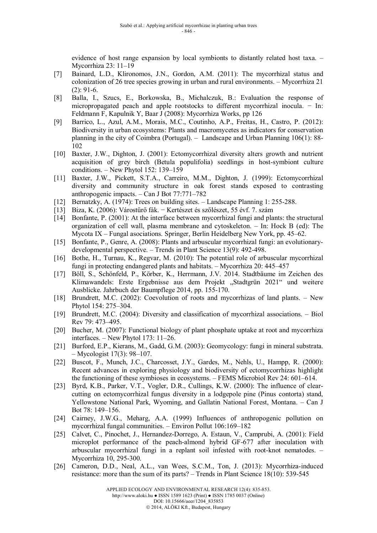evidence of host range expansion by local symbionts to distantly related host taxa. – Mycorrhiza 23: 11–19

- [7] Bainard, L.D., Klironomos, J.N., Gordon, A.M. (2011): The mycorrhizal status and colonization of 26 tree species growing in urban and rural environments. – Mycorrhiza 21  $(2): 91-6.$
- [8] Balla, I., Szucs, E., Borkowska, B., Michalczuk, B.: Evaluation the response of micropropagated peach and apple rootstocks to different mycorrhizal inocula. − In: Feldmann F, Kapulnik Y, Baar J (2008): Mycorrhiza Works, pp 126
- [9] Barrico, L., Azul, A.M., Morais, M.C., Coutinho, A.P., Freitas, H., Castro, P. (2012): Biodiversity in urban ecosystems: Plants and macromycetes as indicators for conservation planning in the city of Coimbra (Portugal). – Landscape and Urban Planning 106(1): 88- 102
- [10] Baxter, J.W., Dighton, J. (2001): Ectomycorrhizal diversity alters growth and nutrient acquisition of grey birch (Betula populifolia) seedlings in host-symbiont culture conditions. – New Phytol 152: 139–159
- [11] Baxter, J.W., Pickett, S.T.A., Carreiro, M.M., Dighton, J. (1999): Ectomycorrhizal diversity and community structure in oak forest stands exposed to contrasting anthropogenic impacts. – Can J Bot 77:771–782
- [12] Bernatzky, A. (1974): Trees on building sites. Landscape Planning 1: 255-288.
- [13] Biza, K. (2006): Várostűrő fák. − Kertészet és szőlészet, 55 évf. 7. szám
- [14] Bonfante, P. (2001): At the interface between mycorrhizal fungi and plants: the structural organization of cell wall, plasma membrane and cytoskeleton. – In: Hock B (ed): The Mycota IX – Fungal asociations. Springer, Berlin Heidelberg New York, pp. 45–62.
- [15] Bonfante, P., Genre, A. (2008): Plants and arbuscular mycorrhizal fungi: an evolutionarydevelopmental perspective. – Trends in Plant Science 13(9): 492-498.
- [16] Bothe, H., Turnau, K., Regvar, M. (2010): The potential role of arbuscular mycorrhizal fungi in protecting endangered plants and habitats. – Mycorrhiza 20: 445–457
- [17] Böll, S., Schönfeld, P., Körber, K., Herrmann, J.V. 2014. Stadtbäume im Zeichen des Klimawandels: Erste Ergebnisse aus dem Projekt "Stadtgrün 2021" und weitere Ausblicke. Jahrbuch der Baumpflege 2014, pp. 155-170.
- [18] Brundrett, M.C. (2002): Coevolution of roots and mycorrhizas of land plants. New Phytol 154: 275–304.
- [19] Brundrett, M.C. (2004): Diversity and classification of mycorrhizal associations. Biol Rev 79: 473–495.
- [20] Bucher, M. (2007): Functional biology of plant phosphate uptake at root and mycorrhiza interfaces. – New Phytol 173: 11–26.
- [21] Burford, E.P., Kierans, M., Gadd, G.M. (2003): Geomycology: fungi in mineral substrata. – Mycologist 17(3): 98–107.
- [22] Buscot, F., Munch, J.C., Charcosset, J.Y., Gardes, M., Nehls, U., Hampp, R. (2000): Recent advances in exploring physiology and biodiversity of ectomycorrhizas highlight the functioning of these symbioses in ecosystems. – FEMS Microbiol Rev 24: 601–614.
- [23] Byrd, K.B., Parker, V.T., Vogler, D.R., Cullings, K.W. (2000): The influence of clearcutting on ectomycorrhizal fungus diversity in a lodgepole pine (Pinus contorta) stand, Yellowstone National Park, Wyoming, and Gallatin National Forest, Montana. – Can J Bot 78: 149–156.
- [24] Cairney, J.W.G., Meharg, A.A. (1999) Influences of anthropogenic pollution on mycorrhizal fungal communities. – Environ Pollut 106:169–182
- [25] Calvet, C., Pinochet, J., Hernandez-Dorrego, A. Estaun, V., Camprubi, A. (2001): Field microplot performance of the peach-almond hybrid GF-677 after inoculation with arbuscular mycorrhizal fungi in a replant soil infested with root-knot nematodes. – Mycorrhiza 10, 295-300.
- [26] Cameron, D.D., Neal, A.L., van Wees, S.C.M., Ton, J. (2013): Mycorrhiza-induced resistance: more than the sum of its parts? – Trends in Plant Science 18(10): 539-545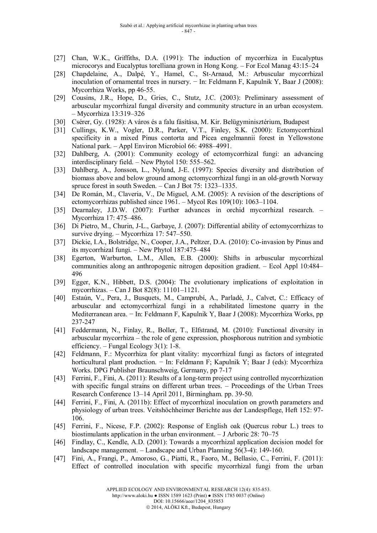- [27] Chan, W.K., Griffiths, D.A. (1991): The induction of mycorrhiza in Eucalyptus microcorys and Eucalyptus torelliana grown in Hong Kong. – For Ecol Manag 43:15–24
- [28] Chapdelaine, A., Dalpé, Y., Hamel, C., St-Arnaud, M.: Arbuscular mycorrhizal inoculation of ornamental trees in nursery. − In: Feldmann F, Kapulnik Y, Baar J (2008): Mycorrhiza Works, pp 46-55.
- [29] Cousins, J.R., Hope, D., Gries, C., Stutz, J.C. (2003): Preliminary assessment of arbuscular mycorrhizal fungal diversity and community structure in an urban ecosystem. – Mycorrhiza 13:319–326
- [30] Csérer, Gy. (1928): A város és a falu fásítása, M. Kir. Belügyminisztérium, Budapest
- [31] Cullings, K.W., Vogler, D.R., Parker, V.T., Finley, S.K. (2000): Ectomycorrhizal specificity in a mixed Pinus contorta and Picea engelmannii forest in Yellowstone National park. – Appl Environ Microbiol 66: 4988–4991.
- [32] Dahlberg, A. (2001): Community ecology of ectomycorrhizal fungi: an advancing interdisciplinary field. – New Phytol 150: 555–562.
- [33] Dahlberg, A., Jonsson, L., Nylund, J-E. (1997): Species diversity and distribution of biomass above and below ground among ectomycorrhizal fungi in an old-growth Norway spruce forest in south Sweden. – Can J Bot 75: 1323–1335.
- [34] De Román, M., Claveria, V., De Miguel, A.M. (2005): A revision of the descriptions of ectomycorrhizas published since 1961. – Mycol Res 109(10): 1063–1104.
- [35] Dearnaley, J.D.W. (2007): Further advances in orchid mycorrhizal research. Mycorrhiza 17: 475–486.
- [36] Di Pietro, M., Churin, J-L., Garbaye, J. (2007): Differential ability of ectomycorrhizas to survive drying. – Mycorrhiza 17: 547–550.
- [37] Dickie, I.A., Bolstridge, N., Cooper, J.A., Peltzer, D.A. (2010): Co-invasion by Pinus and its mycorrhizal fungi. – New Phytol 187:475–484
- [38] Egerton, Warburton, L.M., Allen, E.B. (2000): Shifts in arbuscular mycorrhizal communities along an anthropogenic nitrogen deposition gradient. – Ecol Appl 10:484– 496
- [39] Egger, K.N., Hibbett, D.S. (2004): The evolutionary implications of exploitation in mycorrhizas. – Can J Bot 82(8): 11101–1121.
- [40] Estaún, V., Pera, J., Busquets, M., Camprubí, A., Parladé, J., Calvet, C.: Efficacy of arbuscular and ectomycorrhizal fungi in a rehabilitated limestone quarry in the Mediterranean area. − In: Feldmann F, Kapulnik Y, Baar J (2008): Mycorrhiza Works, pp 237-247
- [41] Feddermann, N., Finlay, R., Boller, T., Elfstrand, M. (2010): Functional diversity in arbuscular mycorrhiza – the role of gene expression, phosphorous nutrition and symbiotic efficiency. – Fungal Ecology 3(1): 1-8.
- [42] Feldmann, F.: Mycorrhiza for plant vitality: mycorrhizal fungi as factors of integrated horticultural plant production. − In: Feldmann F; Kapulnik Y; Baar J (eds): Mycorrhiza Works. DPG Publisher Braunschweig, Germany, pp 7-17
- [43] Ferrini, F., Fini, A. (2011): Results of a long-term project using controlled mycorrhization with specific fungal strains on different urban trees. – Proceedings of the Urban Trees Research Conference 13–14 April 2011, Birmingham. pp. 39-50.
- [44] Ferrini, F., Fini, A. (2011b): Effect of mycorrhizal inoculation on growth parameters and physiology of urban trees. Veitshöchheimer Berichte aus der Landespflege, Heft 152: 97- 106.
- [45] Ferrini, F., Nicese, F.P. (2002): Response of English oak (Quercus robur L.) trees to biostimulants application in the urban environment. – J Arboric 28: 70–75
- [46] Findlay, C., Kendle, A.D. (2001): Towards a mycorrhizal application decision model for landscape management. – Landscape and Urban Planning 56(3-4): 149-160.
- [47] Fini, A., Frangi, P., Amoroso, G., Piatti, R., Faoro, M., Bellasio, C., Ferrini, F. (2011): Effect of controlled inoculation with specific mycorrhizal fungi from the urban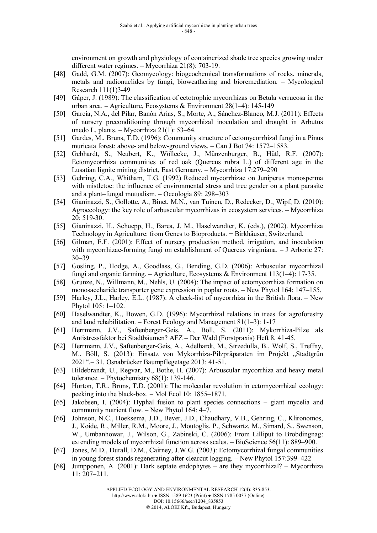environment on growth and physiology of containerized shade tree species growing under different water regimes. – Mycorrhiza 21(8): 703-19.

- [48] Gadd, G.M. (2007): Geomycology: biogeochemical transformations of rocks, minerals, metals and radionuclides by fungi, bioweathering and bioremediation. – Mycological Research 111(1)3-49
- [49] Gáper, J. (1989): The classification of ectotrophic mycorrhizas on Betula verrucosa in the urban area. – Agriculture, Ecosystems & Environment 28(1–4): 145-149
- [50] Garcia, N.A., del Pilar, Banón Árias, S., Morte, A., Sánchez-Blanco, M.J. (2011): Effects of nursery preconditioning through mycorrhizal inoculation and drought in Arbutus unedo L. plants. – Mycorrhiza 21(1): 53–64.
- [51] Gardes, M., Bruns, T.D. (1996): Community structure of ectomycorrhizal fungi in a Pinus muricata forest: above- and below-ground views. – Can J Bot 74: 1572–1583.
- [52] Gebhardt, S., Neubert, K., Wöllecke, J., Münzenburger, B., Hütl, R.F. (2007): Ectomycorrhiza communities of red oak (Quercus rubra L.) of different age in the Lusatian lignite mining district, East Germany. – Mycorrhiza 17:279–290
- [53] Gehring, C.A., Whitham, T.G. (1992) Reduced mycorrhizae on Juniperus monosperma with mistletoe: the influence of environmental stress and tree gender on a plant parasite and a plant–fungal mutualism. – Oecologia 89: 298–303
- [54] Gianinazzi, S., Gollotte, A., Binet, M.N., van Tuinen, D., Redecker, D., Wipf, D. (2010): Agroecology: the key role of arbuscular mycorrhizas in ecosystem services. – Mycorrhiza 20: 519-30.
- [55] Gianinazzi, H., Schuepp, H., Barea, J. M., Haselwandter, K. (eds.), (2002). Mycorrhiza Technology in Agriculture: from Genes to Bioproducts. − Birkhäuser, Switzerland.
- [56] Gilman, E.F. (2001): Effect of nursery production method, irrigation, and inoculation with mycorrhizae-forming fungi on establishment of Quercus virginiana. – J Arboric 27: 30–39
- [57] Gosling, P., Hodge, A., Goodlass, G., Bending, G.D. (2006): Arbuscular mycorrhizal fungi and organic farming. – Agriculture, Ecosystems & Environment 113(1–4): 17-35.
- [58] Grunze, N., Willmann, M., Nehls, U. (2004): The impact of ectomycorrhiza formation on monosaccharide transporter gene expression in poplar roots. – New Phytol 164: 147–155.
- [59] Harley, J.L., Harley, E.L. (1987): A check-list of mycorrhiza in the British flora. New Phytol 105: 1–102.
- [60] Haselwandter, K., Bowen, G.D. (1996): Mycorrhizal relations in trees for agroforestry and land rehabilitation. – Forest Ecology and Management 81(1–3): 1-17
- [61] Herrmann, J.V., Saftenberger-Geis, A., Böll, S. (2011): Mykorrhiza-Pilze als Antistressfaktor bei Stadtbäumen? AFZ – Der Wald (Forstpraxis) Heft 8, 41-45.
- [62] Herrmann, J.V., Saftenberger-Geis, A., Adelhardt, M., Strzedulla, B., Wolf, S., Treffny, M., Böll, S. (2013): Einsatz von Mykorrhiza-Pilzpräparaten im Projekt "Stadtgrün 2021".– 31. Osnabrücker Baumpflegetage 2013: 41-51.
- [63] Hildebrandt, U., Regvar, M., Bothe, H. (2007): Arbuscular mycorrhiza and heavy metal tolerance. – Phytochemistry 68(1): 139-146.
- [64] Horton, T.R., Bruns, T.D. (2001): The molecular revolution in ectomycorrhizal ecology: peeking into the black-box. – Mol Ecol 10: 1855–1871.
- [65] Jakobsen, I. (2004): Hyphal fusion to plant species connections giant mycelia and community nutrient flow. – New Phytol 164: 4–7.
- [66] Johnson, N.C., Hoeksema, J.D., Bever, J.D., Chaudhary, V.B., Gehring, C., Klironomos, J., Koide, R., Miller, R.M., Moore, J., Moutoglis, P., Schwartz, M., Simard, S., Swenson, W., Umbanhowar, J., Wilson, G., Zabinski, C. (2006): From Lilliput to Brobdingnag: extending models of mycorrhizal function across scales. – BioScience 56(11): 889–900.
- [67] Jones, M.D., Durall, D.M., Cairney, J.W.G. (2003): Ectomycorrhizal fungal communities in young forest stands regenerating after clearcut logging. – New Phytol 157:399–422
- [68] Jumpponen, A. (2001): Dark septate endophytes are they mycorrhizal? Mycorrhiza 11: 207–211.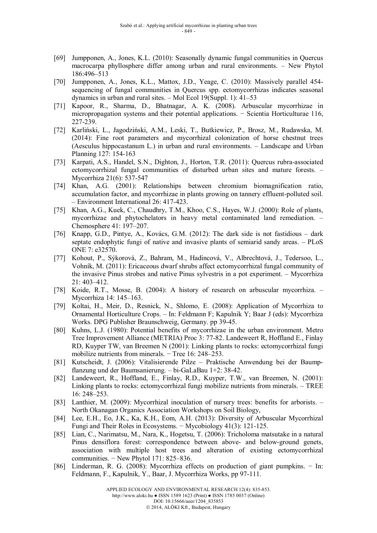- [69] Jumpponen, A., Jones, K.L. (2010): Seasonally dynamic fungal communities in Quercus macrocarpa phyllosphere differ among urban and rural environments. – New Phytol 186:496–513
- [70] Jumpponen, A., Jones, K.L., Mattox, J.D., Yeage, C. (2010): Massively parallel 454 sequencing of fungal communities in Quercus spp. ectomycorrhizas indicates seasonal dynamics in urban and rural sites. – Mol Ecol 19(Suppl. 1): 41–53
- [71] Kapoor, R., Sharma, D., Bhatnagar, A. K. (2008). Arbuscular mycorrhizae in micropropagation systems and their potential applications. − Scientia Horticulturae 116, 227-239.
- [72] Karliński, L., Jagodziński, A.M., Leski, T., Butkiewicz, P., Brosz, M., Rudawska, M. (2014): Fine root parameters and mycorrhizal colonization of horse chestnut trees (Aesculus hippocastanum L.) in urban and rural environments. – Landscape and Urban Planning 127: 154-163
- [73] Karpati, A.S., Handel, S.N., Dighton, J., Horton, T.R. (2011): Quercus rubra-associated ectomycorrhizal fungal communities of disturbed urban sites and mature forests. – Mycorrhiza 21(6): 537-547
- [74] Khan, A.G. (2001): Relationships between chromium biomagnification ratio, accumulation factor, and mycorrhizae in plants growing on tannery effluent-polluted soil. – Environment International 26: 417-423.
- [75] Khan, A.G., Kuek, C., Chaudhry, T.M., Khoo, C.S., Hayes, W.J. (2000): Role of plants, mycorrhizae and phytochelators in heavy metal contaminated land remediation. – Chemosphere 41: 197–207.
- [76] Knapp, G.D., Pintye, A., Kovács, G.M. (2012): The dark side is not fastidious dark septate endophytic fungi of native and invasive plants of semiarid sandy areas. – PLoS ONE 7: e32570.
- [77] Kohout, P., Sýkorová, Z., Bahram, M., Hadincová, V., Albrechtová, J., Tedersoo, L., Vohník, M. (2011): Ericaceous dwarf shrubs affect ectomycorrhizal fungal community of the invasive Pinus strobes and native Pinus sylvestris in a pot experiment. – Mycorrhiza 21: 403–412.
- [78] Koide, R.T., Mosse, B. (2004): A history of research on arbuscular mycorrhiza. Mycorrhiza 14: 145–163.
- [79] Koltai, H., Meir, D., Resnick, N., Shlomo, E. (2008): Application of Mycorrhiza to Ornamental Horticulture Crops. – In: Feldmann F; Kapulnik Y; Baar J (eds): Mycorrhiza Works. DPG Publisher Braunschweig, Germany. pp 39-45.
- [80] Kuhns, L.J. (1980): Potential benefits of mycorrhizae in the urban environment. Metro Tree Improvement Alliance (METRIA) Proc 3: 77-82. Landeweert R, Hoffland E., Finlay RD, Kuyper TW, van Breemen N (2001): Linking plants to rocks: ectomycorrhizal fungi mobilize nutrients from minerals. – Tree 16: 248–253.
- [81] Kutscheidt, J. (2006): Vitalisierende Pilze Praktische Anwendung bei der Baumpflanzung und der Baumsanierung. – bi-GaLaBau 1+2: 38-42.
- [82] Landeweert, R., Hoffland, E., Finlay, R.D., Kuyper, T.W., van Breemen, N. (2001): Linking plants to rocks: ectomycorrhizal fungi mobilize nutrients from minerals. – TREE 16: 248–253.
- [83] Lanthier, M. (2009): Mycorrhizal inoculation of nursery trees: benefits for arborists. North Okanagan Organics Association Workshops on Soil Biology,
- [84] Lee, E.H., Eo, J.K., Ka, K.H., Eom, A.H. (2013): Diversity of Arbuscular Mycorrhizal Fungi and Their Roles in Ecosystems. − Mycobiology 41(3): 121-125.
- [85] Lian, C., Narimatsu, M., Nara, K., Hogetsu, T. (2006): Tricholoma matsutake in a natural Pinus densiflora forest: correspondence between above- and below-ground genets, association with multiple host trees and alteration of existing ectomycorrhizal communities. − New Phytol 171: 825–836.
- [86] Linderman, R. G. (2008): Mycorrhiza effects on production of giant pumpkins. − In: Feldmann, F., Kapulnik, Y., Baar, J. Mycorrhiza Works, pp 97-111.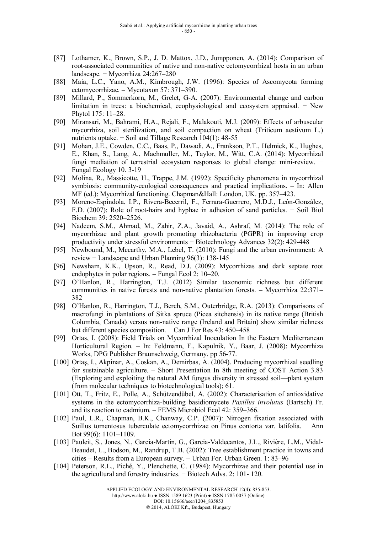- [87] Lothamer, K., Brown, S.P., J. D. Mattox, J.D., Jumpponen, A. (2014): Comparison of root-associated communities of native and non-native ectomycorrhizal hosts in an urban landscape. − Mycorrhiza 24:267–280
- [88] Maia, L.C., Yano, A.M., Kimbrough, J.W. (1996): Species of Ascomycota forming ectomycorrhizae. – Mycotaxon 57: 371–390.
- [89] Millard, P., Sommerkorn, M., Grelet, G-A. (2007): Environmental change and carbon limitation in trees: a biochemical, ecophysiological and ecosystem appraisal. − New Phytol 175: 11–28.
- [90] Miransari, M., Bahrami, H.A., Rejali, F., Malakouti, M.J. (2009): Effects of arbuscular mycorrhiza, soil sterilization, and soil compaction on wheat (Triticum aestivum L.) nutrients uptake. – Soil and Tillage Research 104(1): 48-55
- [91] Mohan, J.E., Cowden, C.C., Baas, P., Dawadi, A., Frankson, P.T., Helmick, K., Hughes, E., Khan, S., Lang, A., Machmuller, M., Taylor, M., Witt, C.A. (2014): Mycorrhizal fungi mediation of terrestrial ecosystem responses to global change: mini-review. − Fungal Ecology 10. 3-19
- [92] Molina, R., Massicotte, H., Trappe, J.M. (1992): Specificity phenomena in mycorrhizal symbiosis: community-ecological consequences and practical implications. – In: Allen MF (ed.): Mycorrhizal functioning. Chapman&Hall: London, UK. pp. 357–423.
- [93] Moreno-Espíndola, I.P., Rivera-Becerril, F., Ferrara-Guerrero, M.D.J., León-González, F.D. (2007): Role of root-hairs and hyphae in adhesion of sand particles. − Soil Biol Biochem 39: 2520–2526.
- [94] Nadeem, S.M., Ahmad, M., Zahir, Z.A., Javaid, A., Ashraf, M. (2014): The role of mycorrhizae and plant growth promoting rhizobacteria (PGPR) in improving crop productivity under stressful environments − Biotechnology Advances 32(2): 429-448
- [95] Newbound, M., Mccarthy, M.A., Lebel, T. (2010): Fungi and the urban environment: A review − Landscape and Urban Planning 96(3): 138-145
- [96] Newsham, K.K., Upson, R., Read, D.J. (2009): Mycorrhizas and dark septate root endophytes in polar regions. – Fungal Ecol 2: 10–20.
- [97] O'Hanlon, R., Harrington, T.J. (2012) Similar taxonomic richness but different communities in native forests and non-native plantation forests. – Mycorrhiza 22:371– 382
- [98] O'Hanlon, R., Harrington, T.J., Berch, S.M., Outerbridge, R.A. (2013): Comparisons of macrofungi in plantations of Sitka spruce (Picea sitchensis) in its native range (British Columbia, Canada) versus non-native range (Ireland and Britain) show similar richness but different species composition. − Can J For Res 43: 450–458
- [99] Ortas, I. (2008): Field Trials on Mycorrhizal Inoculation In the Eastern Mediterranean Horticultural Region. – In: Feldmann, F., Kapulnik, Y., Baar, J. (2008): Mycorrhiza Works, DPG Publisher Braunschweig, Germany. pp 56-77.
- [100] Ortaş, I., Akpinar, A., Coskan, A., Demirbas, A. (2004). Producing mycorrhizal seedling for sustainable agriculture. – Short Presentation In 8th meeting of COST Action 3.83 (Exploring and exploiting the natural AM fungus diversity in stressed soil—plant system (from molecular techniques to biotechnological tools); 61.
- [101] Ott, T., Fritz, E., Polle, A., Schützendübel, A. (2002): Characterisation of antioxidative systems in the ectomycorrhiza-building basidiomycete *Paxillus involutus* (Bartsch) Fr. and its reaction to cadmium. – FEMS Microbiol Ecol 42: 359–366.
- [102] Paul, L.R., Chapman, B.K., Chanway, C.P. (2007): Nitrogen fixation associated with Suillus tomentosus tuberculate ectomycorrhizae on Pinus contorta var. latifolia. − Ann Bot 99(6): 1101–1109.
- [103] Pauleit, S., Jones, N., Garcia-Martin, G., Garcia-Valdecantos, J.L., Rivière, L.M., Vidal-Beaudet, L., Bodson, M., Randrup, T.B. (2002): Tree establishment practice in towns and cities – Results from a European survey. − Urban For. Urban Green. 1: 83–96
- [104] Peterson, R.L., Piché, Y., Plenchette, C. (1984): Mycorrhizae and their potential use in the agricultural and forestry industries. − Biotech Advs. 2: 101- 120.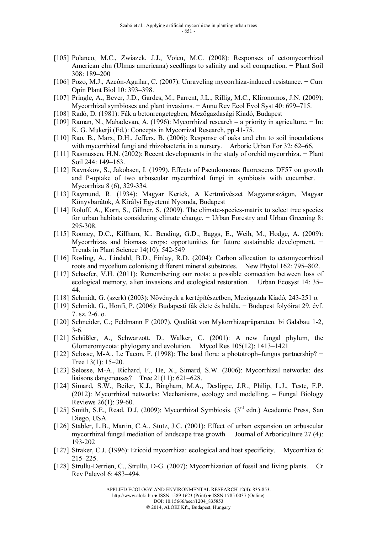- [105] Polanco, M.C., Zwiazek, J.J., Voicu, M.C. (2008): Responses of ectomycorrhizal American elm (Ulmus americana) seedlings to salinity and soil compaction. − Plant Soil 308: 189–200
- [106] Pozo, M.J., Azcón-Aguilar, C. (2007): Unraveling mycorrhiza-induced resistance. − Curr Opin Plant Biol 10: 393–398.
- [107] Pringle, A., Bever, J.D., Gardes, M., Parrent, J.L., Rillig, M.C., Klironomos, J.N. (2009): Mycorrhizal symbioses and plant invasions. − Annu Rev Ecol Evol Syst 40: 699–715.
- [108] Radó, D. (1981): Fák a betonrengetegben, Mezőgazdasági Kiadó, Budapest
- [109] Raman, N., Mahadevan, A. (1996): Mycorrhizal research a priority in agriculture. − In: K. G. Mukerji (Ed.): Concepts in Mycorrizal Research, pp.41-75.
- [110] Rao, B., Marx, D.H., Jeffers, B. (2006): Response of oaks and elm to soil inoculations with mycorrhizal fungi and rhizobacteria in a nursery. − Arboric Urban For 32: 62–66.
- [111] Rasmussen, H.N. (2002): Recent developments in the study of orchid mycorrhiza. Plant Soil 244: 149–163.
- [112] Ravnskov, S., Jakobsen, I. (1999). Effects of Pseudomonas fluorescens DF57 on growth and P-uptake of two arbuscular mycorrhizal fungi in symbiosis with cucumber. − Mycorrhiza 8 (6), 329-334.
- [113] Raymund, R. (1934): Magyar Kertek, A Kertművészet Magyarországon, Magyar Könyvbarátok, A Királyi Egyetemi Nyomda, Budapest
- [114] Roloff, A., Korn, S., Gillner, S. (2009). The climate-species-matrix to select tree species for urban habitats considering climate change. – Urban Forestry and Urban Greening 8: 295-308.
- [115] Rooney, D.C., Killham, K., Bending, G.D., Baggs, E., Weih, M., Hodge, A. (2009): Mycorrhizas and biomass crops: opportunities for future sustainable development. − Trends in Plant Science 14(10): 542-549
- [116] Rosling, A., Lindahl, B.D., Finlay, R.D. (2004): Carbon allocation to ectomycorrhizal roots and mycelium colonising different mineral substrates. − New Phytol 162: 795–802.
- [117] Schaefer, V.H. (2011): Remembering our roots: a possible connection between loss of ecological memory, alien invasions and ecological restoration. − Urban Ecosyst 14: 35– 44.
- [118] Schmidt, G. (szerk) (2003): Növények a kertépítészetben, Mezőgazda Kiadó, 243-251 o.
- [119] Schmidt, G., Honfi, P. (2006): Budapesti fák élete és halála. − Budapest folyóirat 29. évf. 7. sz. 2-6. o.
- [120] Schneider, C.; Feldmann F (2007). Qualität von Mykorrhizapräparaten. bi Galabau 1-2, 3-6.
- [121] Schüßler, A., Schwarzott, D., Walker, C. (2001): A new fungal phylum, the Glomeromycota: phylogeny and evolution. − Mycol Res 105(12): 1413–1421
- [122] Selosse, M-A., Le Tacon, F. (1998): The land flora: a phototroph–fungus partnership? − Tree 13(1): 15–20.
- [123] Selosse, M-A., Richard, F., He, X., Simard, S.W. (2006): Mycorrhizal networks: des liaisons dangereuses? − Tree 21(11): 621–628.
- [124] Simard, S.W., Beiler, K.J., Bingham, M.A., Deslippe, J.R., Philip, L.J., Teste, F.P. (2012): Mycorrhizal networks: Mechanisms, ecology and modelling. – Fungal Biology Reviews 26(1): 39-60.
- [125] Smith, S.E., Read, D.J. (2009): Mycorrhizal Symbiosis.  $(3<sup>rd</sup>$  edn.) Academic Press, San Diego, USA.
- [126] Stabler, L.B., Martin, C.A., Stutz, J.C. (2001): Effect of urban expansion on arbuscular mycorrhizal fungal mediation of landscape tree growth. − Journal of Arboriculture 27 (4): 193-202
- [127] Straker, C.J. (1996): Ericoid mycorrhiza: ecological and host specificity. − Mycorrhiza 6: 215–225.
- [128] Strullu-Derrien, C., Strullu, D-G. (2007): Mycorrhization of fossil and living plants. − Cr Rev Palevol 6: 483–494.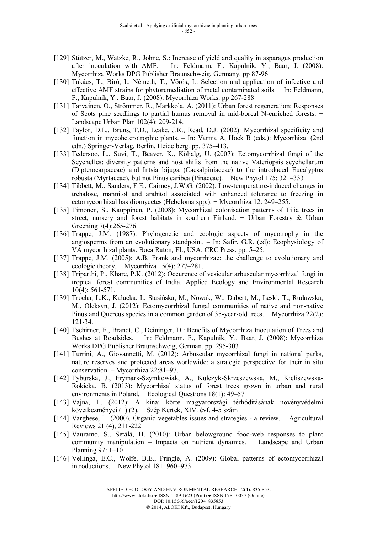- [129] Stützer, M., Watzke, R., Johne, S.: Increase of yield and quality in asparagus production after inoculation with AMF. – In: Feldmann, F., Kapulnik, Y., Baar, J. (2008): Mycorrhiza Works DPG Publisher Braunschweig, Germany. pp 87-96
- [130] Takács, T., Biró, I., Németh, T., Vörös, I.: Selection and application of infective and effective AMF strains for phytoremediation of metal contaminated soils. − In: Feldmann, F., Kapulnik, Y., Baar, J. (2008): Mycorrhiza Works. pp 267-288
- [131] Tarvainen, O., Strömmer, R., Markkola, A. (2011): Urban forest regeneration: Responses of Scots pine seedlings to partial humus removal in mid-boreal N-enriched forests. − Landscape Urban Plan 102(4): 209-214.
- [132] Taylor, D.L., Bruns, T.D., Leake, J.R., Read, D.J. (2002): Mycorrhizal specificity and function in mycoheterotrophic plants. – In: Varma A, Hock B (eds.): Mycorrhiza. (2nd edn.) Springer-Verlag, Berlin, Heidelberg. pp. 375–413.
- [133] Tedersoo, L., Suvi, T., Beaver, K., Köljalg, U. (2007): Ectomycorrhizal fungi of the Seychelles: diversity patterns and host shifts from the native Vateriopsis seychellarum (Dipterocarpaceae) and Intsia bijuga (Caesalpiniaceae) to the introduced Eucalyptus robusta (Myrtaceae), but not Pinus caribea (Pinaceae). − New Phytol 175: 321–333
- [134] Tibbett, M., Sanders, F.E., Cairney, J.W.G. (2002): Low-temperature-induced changes in trehalose, mannitol and arabitol associated with enhanced tolerance to freezing in ectomycorrhizal basidiomycetes (Hebeloma spp.). − Mycorrhiza 12: 249–255.
- [135] Timonen, S., Kauppinen, P. (2008): Mycorrhizal colonisation patterns of Tilia trees in street, nursery and forest habitats in southern Finland. – Urban Forestry & Urban Greening 7(4):265-276.
- [136] Trappe, J.M. (1987): Phylogenetic and ecologic aspects of mycotrophy in the angiosperms from an evolutionary standpoint. – In: Safir, G.R. (ed): Ecophysiology of VA mycorrhizal plants. Boca Raton, FL, USA: CRC Press. pp. 5–25.
- [137] Trappe, J.M. (2005): A.B. Frank and mycorrhizae: the challenge to evolutionary and ecologic theory. − Mycorrhiza 15(4): 277–281.
- [138] Triparthi, P., Khare, P.K. (2012): Occurence of vesicular arbuscular mycorrhizal fungi in tropical forest communities of India. Applied Ecology and Environmental Research 10(4): 561-571.
- [139] Trocha, L.K., Kałucka, I., Stasińska, M., Nowak, W., Dabert, M., Leski, T., Rudawska, M., Oleksyn, J. (2012): Ectomycorrhizal fungal communities of native and non-native Pinus and Quercus species in a common garden of 35-year-old trees. − Mycorrhiza 22(2): 121-34.
- [140] Tschirner, E., Brandt, C., Deininger, D.: Benefits of Mycorrhiza Inoculation of Trees and Bushes at Roadsides. − In: Feldmann, F., Kapulnik, Y., Baar, J. (2008): Mycorrhiza Works DPG Publisher Braunschweig, German. pp. 295-303
- [141] Turrini, A., Giovannetti, M. (2012): Arbuscular mycorrhizal fungi in national parks, nature reserves and protected areas worldwide: a strategic perspective for their in situ conservation. – Mycorrhiza 22:81–97.
- [142] Tyburska, J., Frymark-Szymkowiak, A., Kulczyk-Skrzeszewska, M., Kieliszewska-Rokicka, B. (2013): Mycorrhizal status of forest trees grown in urban and rural environments in Poland. − Ecological Questions 18(1): 49–57
- [143] Vajna, L. (2012): A kínai körte magyarországi térhódításának növényvédelmi következményei (1) (2). − Szép Kertek, XIV. évf. 4-5 szám
- [144] Varghese, L. (2000). Organic vegetables issues and strategies a review. − Agricultural Reviews 21 (4), 211-222
- [145] Vauramo, S., Setälä, H. (2010): Urban belowground food-web responses to plant community manipulation – Impacts on nutrient dynamics. − Landscape and Urban Planning 97: 1–10
- [146] Vellinga, E.C., Wolfe, B.E., Pringle, A. (2009): Global patterns of ectomycorrhizal introductions. − New Phytol 181: 960–973